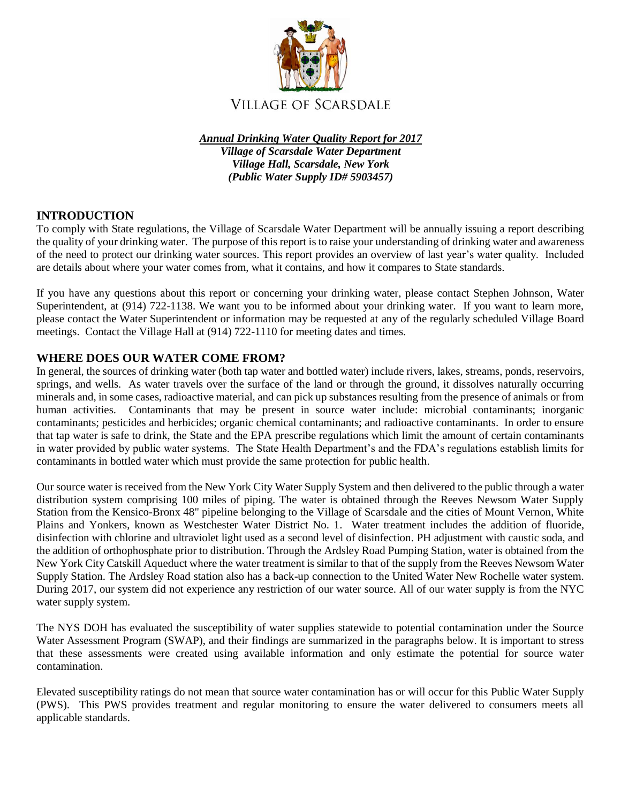

*Annual Drinking Water Quality Report for 2017 Village of Scarsdale Water Department Village Hall, Scarsdale, New York (Public Water Supply ID# 5903457)*

# **INTRODUCTION**

To comply with State regulations, the Village of Scarsdale Water Department will be annually issuing a report describing the quality of your drinking water. The purpose of this report is to raise your understanding of drinking water and awareness of the need to protect our drinking water sources. This report provides an overview of last year's water quality. Included are details about where your water comes from, what it contains, and how it compares to State standards.

If you have any questions about this report or concerning your drinking water, please contact Stephen Johnson, Water Superintendent, at (914) 722-1138. We want you to be informed about your drinking water. If you want to learn more, please contact the Water Superintendent or information may be requested at any of the regularly scheduled Village Board meetings. Contact the Village Hall at (914) 722-1110 for meeting dates and times.

# **WHERE DOES OUR WATER COME FROM?**

In general, the sources of drinking water (both tap water and bottled water) include rivers, lakes, streams, ponds, reservoirs, springs, and wells. As water travels over the surface of the land or through the ground, it dissolves naturally occurring minerals and, in some cases, radioactive material, and can pick up substances resulting from the presence of animals or from human activities. Contaminants that may be present in source water include: microbial contaminants; inorganic contaminants; pesticides and herbicides; organic chemical contaminants; and radioactive contaminants. In order to ensure that tap water is safe to drink, the State and the EPA prescribe regulations which limit the amount of certain contaminants in water provided by public water systems. The State Health Department's and the FDA's regulations establish limits for contaminants in bottled water which must provide the same protection for public health.

Our source water is received from the New York City Water Supply System and then delivered to the public through a water distribution system comprising 100 miles of piping. The water is obtained through the Reeves Newsom Water Supply Station from the Kensico-Bronx 48" pipeline belonging to the Village of Scarsdale and the cities of Mount Vernon, White Plains and Yonkers, known as Westchester Water District No. 1. Water treatment includes the addition of fluoride, disinfection with chlorine and ultraviolet light used as a second level of disinfection. PH adjustment with caustic soda, and the addition of orthophosphate prior to distribution. Through the Ardsley Road Pumping Station, water is obtained from the New York City Catskill Aqueduct where the water treatment is similar to that of the supply from the Reeves Newsom Water Supply Station. The Ardsley Road station also has a back-up connection to the United Water New Rochelle water system. During 2017, our system did not experience any restriction of our water source. All of our water supply is from the NYC water supply system.

The NYS DOH has evaluated the susceptibility of water supplies statewide to potential contamination under the Source Water Assessment Program (SWAP), and their findings are summarized in the paragraphs below. It is important to stress that these assessments were created using available information and only estimate the potential for source water contamination.

Elevated susceptibility ratings do not mean that source water contamination has or will occur for this Public Water Supply (PWS). This PWS provides treatment and regular monitoring to ensure the water delivered to consumers meets all applicable standards.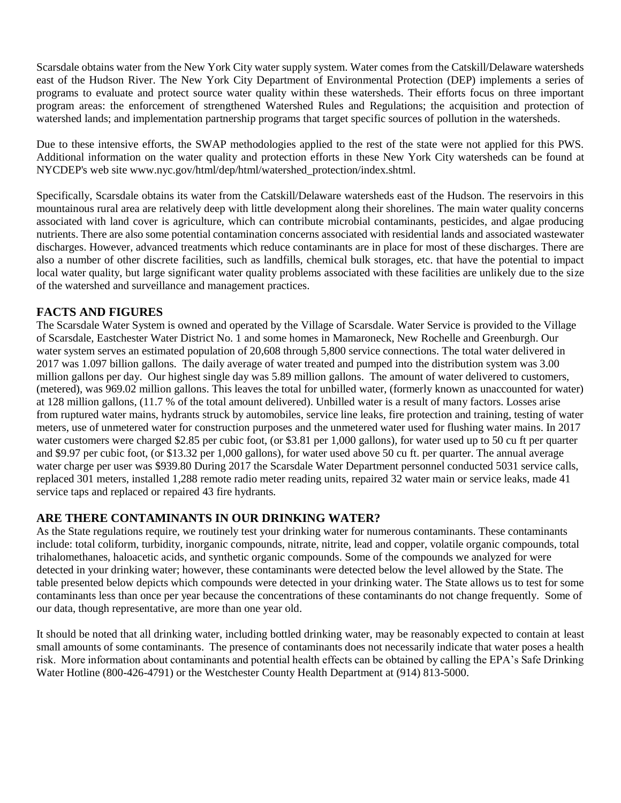Scarsdale obtains water from the New York City water supply system. Water comes from the Catskill/Delaware watersheds east of the Hudson River. The New York City Department of Environmental Protection (DEP) implements a series of programs to evaluate and protect source water quality within these watersheds. Their efforts focus on three important program areas: the enforcement of strengthened Watershed Rules and Regulations; the acquisition and protection of watershed lands; and implementation partnership programs that target specific sources of pollution in the watersheds.

Due to these intensive efforts, the SWAP methodologies applied to the rest of the state were not applied for this PWS. Additional information on the water quality and protection efforts in these New York City watersheds can be found at NYCDEP's web site www.nyc.gov/html/dep/html/watershed\_protection/index.shtml.

Specifically, Scarsdale obtains its water from the Catskill/Delaware watersheds east of the Hudson. The reservoirs in this mountainous rural area are relatively deep with little development along their shorelines. The main water quality concerns associated with land cover is agriculture, which can contribute microbial contaminants, pesticides, and algae producing nutrients. There are also some potential contamination concerns associated with residential lands and associated wastewater discharges. However, advanced treatments which reduce contaminants are in place for most of these discharges. There are also a number of other discrete facilities, such as landfills, chemical bulk storages, etc. that have the potential to impact local water quality, but large significant water quality problems associated with these facilities are unlikely due to the size of the watershed and surveillance and management practices.

# **FACTS AND FIGURES**

The Scarsdale Water System is owned and operated by the Village of Scarsdale. Water Service is provided to the Village of Scarsdale, Eastchester Water District No. 1 and some homes in Mamaroneck, New Rochelle and Greenburgh. Our water system serves an estimated population of 20,608 through 5,800 service connections. The total water delivered in 2017 was 1.097 billion gallons. The daily average of water treated and pumped into the distribution system was 3.00 million gallons per day. Our highest single day was 5.89 million gallons. The amount of water delivered to customers, (metered), was 969.02 million gallons. This leaves the total for unbilled water, (formerly known as unaccounted for water) at 128 million gallons, (11.7 % of the total amount delivered). Unbilled water is a result of many factors. Losses arise from ruptured water mains, hydrants struck by automobiles, service line leaks, fire protection and training, testing of water meters, use of unmetered water for construction purposes and the unmetered water used for flushing water mains. In 2017 water customers were charged \$2.85 per cubic foot, (or \$3.81 per 1,000 gallons), for water used up to 50 cu ft per quarter and \$9.97 per cubic foot, (or \$13.32 per 1,000 gallons), for water used above 50 cu ft. per quarter. The annual average water charge per user was \$939.80 During 2017 the Scarsdale Water Department personnel conducted 5031 service calls, replaced 301 meters, installed 1,288 remote radio meter reading units, repaired 32 water main or service leaks, made 41 service taps and replaced or repaired 43 fire hydrants.

# **ARE THERE CONTAMINANTS IN OUR DRINKING WATER?**

As the State regulations require, we routinely test your drinking water for numerous contaminants. These contaminants include: total coliform, turbidity, inorganic compounds, nitrate, nitrite, lead and copper, volatile organic compounds, total trihalomethanes, haloacetic acids, and synthetic organic compounds. Some of the compounds we analyzed for were detected in your drinking water; however, these contaminants were detected below the level allowed by the State. The table presented below depicts which compounds were detected in your drinking water. The State allows us to test for some contaminants less than once per year because the concentrations of these contaminants do not change frequently. Some of our data, though representative, are more than one year old.

It should be noted that all drinking water, including bottled drinking water, may be reasonably expected to contain at least small amounts of some contaminants. The presence of contaminants does not necessarily indicate that water poses a health risk. More information about contaminants and potential health effects can be obtained by calling the EPA's Safe Drinking Water Hotline (800-426-4791) or the Westchester County Health Department at (914) 813-5000.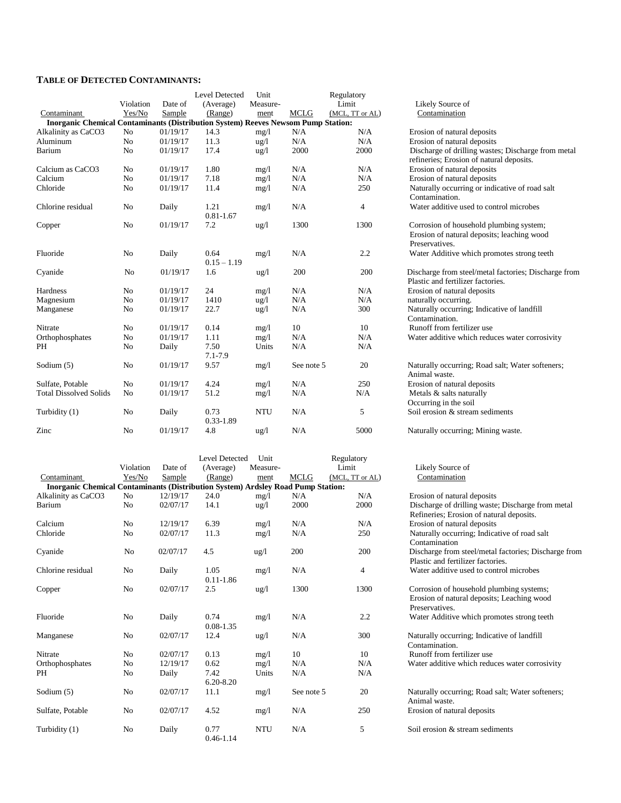#### **TABLE OF DETECTED CONTAMINANTS:**

|                                                                                          |                |          | Level Detected        | Unit            |             | Regulatory      |                                                                                                         |
|------------------------------------------------------------------------------------------|----------------|----------|-----------------------|-----------------|-------------|-----------------|---------------------------------------------------------------------------------------------------------|
|                                                                                          | Violation      | Date of  | (Average)             | Measure-        |             | Limit           | Likely Source of                                                                                        |
| Contaminant                                                                              | Yes/No         | Sample   | (Range)               | ment            | <b>MCLG</b> | (MCL, TT or AL) | Contamination                                                                                           |
| <b>Inorganic Chemical Contaminants (Distribution System) Reeves Newsom Pump Station:</b> |                |          |                       |                 |             |                 |                                                                                                         |
| Alkalinity as CaCO3                                                                      | No             | 01/19/17 | 14.3                  | mg/1            | N/A         | N/A             | Erosion of natural deposits                                                                             |
| Aluminum                                                                                 | N <sub>o</sub> | 01/19/17 | 11.3                  | $\frac{u g}{l}$ | N/A         | N/A             | Erosion of natural deposits                                                                             |
| Barium                                                                                   | No             | 01/19/17 | 17.4                  | $\frac{u g}{l}$ | 2000        | 2000            | Discharge of drilling wastes; Discharge from metal<br>refineries; Erosion of natural deposits.          |
| Calcium as CaCO3                                                                         | N <sub>o</sub> | 01/19/17 | 1.80                  | mg/1            | N/A         | N/A             | Erosion of natural deposits                                                                             |
| Calcium                                                                                  | N <sub>o</sub> | 01/19/17 | 7.18                  | mg/1            | N/A         | N/A             | Erosion of natural deposits                                                                             |
| Chloride                                                                                 | No             | 01/19/17 | 11.4                  | mg/1            | N/A         | 250             | Naturally occurring or indicative of road salt<br>Contamination.                                        |
| Chlorine residual                                                                        | N <sub>o</sub> | Daily    | 1.21<br>$0.81 - 1.67$ | mg/1            | N/A         | 4               | Water additive used to control microbes                                                                 |
| Copper                                                                                   | N <sub>o</sub> | 01/19/17 | 7.2                   | $\frac{u}{g}$   | 1300        | 1300            | Corrosion of household plumbing system;<br>Erosion of natural deposits; leaching wood<br>Preservatives. |
| Fluoride                                                                                 | No             | Daily    | 0.64<br>$0.15 - 1.19$ | mg/1            | N/A         | 2.2             | Water Additive which promotes strong teeth                                                              |
| Cyanide                                                                                  | N <sub>0</sub> | 01/19/17 | 1.6                   | $\frac{u g}{l}$ | 200         | 200             | Discharge from steel/metal factories; Discharge from<br>Plastic and fertilizer factories.               |
| Hardness                                                                                 | N <sub>o</sub> | 01/19/17 | 24                    | mg/l            | N/A         | N/A             | Erosion of natural deposits                                                                             |
| Magnesium                                                                                | No             | 01/19/17 | 1410                  | $\frac{1}{2}$   | N/A         | N/A             | naturally occurring.                                                                                    |
| Manganese                                                                                | No             | 01/19/17 | 22.7                  | $\frac{u g}{l}$ | N/A         | 300             | Naturally occurring; Indicative of landfill<br>Contamination.                                           |
| Nitrate                                                                                  | No             | 01/19/17 | 0.14                  | mg/1            | 10          | 10              | Runoff from fertilizer use                                                                              |
| Orthophosphates                                                                          | No             | 01/19/17 | 1.11                  | mg/1            | N/A         | N/A             | Water additive which reduces water corrosivity                                                          |
| PH                                                                                       | No             | Daily    | 7.50<br>7.1-7.9       | Units           | N/A         | N/A             |                                                                                                         |
| Sodium $(5)$                                                                             | No             | 01/19/17 | 9.57                  | mg/1            | See note 5  | 20              | Naturally occurring; Road salt; Water softeners;<br>Animal waste.                                       |
| Sulfate, Potable                                                                         | No             | 01/19/17 | 4.24                  | mg/1            | N/A         | 250             | Erosion of natural deposits                                                                             |
| <b>Total Dissolved Solids</b>                                                            | No             | 01/19/17 | 51.2                  | mg/1            | N/A         | N/A             | Metals & salts naturally<br>Occurring in the soil                                                       |
| Turbidity (1)                                                                            | No             | Daily    | 0.73<br>0.33-1.89     | <b>NTU</b>      | N/A         | 5               | Soil erosion & stream sediments                                                                         |
| Zinc                                                                                     | No             | 01/19/17 | 4.8                   | $\frac{u}{g}$   | N/A         | 5000            | Naturally occurring; Mining waste.                                                                      |

|                                                                                         |                |          | <b>Level Detected</b> | Unit            |             | Regulatory      |                                                                                                          |  |
|-----------------------------------------------------------------------------------------|----------------|----------|-----------------------|-----------------|-------------|-----------------|----------------------------------------------------------------------------------------------------------|--|
|                                                                                         | Violation      | Date of  | (Average)             | Measure-        | Limit       |                 | Likely Source of                                                                                         |  |
| Contaminant                                                                             | Yes/No         | Sample   | (Range)               | ment            | <b>MCLG</b> | (MCL, TT or AL) | Contamination                                                                                            |  |
| <b>Inorganic Chemical Contaminants (Distribution System) Ardsley Road Pump Station:</b> |                |          |                       |                 |             |                 |                                                                                                          |  |
| Alkalinity as CaCO3                                                                     | No             | 12/19/17 | 24.0                  | mg/1            | N/A         | N/A             | Erosion of natural deposits                                                                              |  |
| Barium                                                                                  | N <sub>o</sub> | 02/07/17 | 14.1                  | $\frac{u g}{l}$ | 2000        | 2000            | Discharge of drilling waste; Discharge from metal<br>Refineries; Erosion of natural deposits.            |  |
| Calcium                                                                                 | N <sub>0</sub> | 12/19/17 | 6.39                  | mg/l            | N/A         | N/A             | Erosion of natural deposits                                                                              |  |
| Chloride                                                                                | N <sub>0</sub> | 02/07/17 | 11.3                  | mg/l            | N/A         | 250             | Naturally occurring; Indicative of road salt<br>Contamination                                            |  |
| Cyanide                                                                                 | N <sub>0</sub> | 02/07/17 | 4.5                   | $\frac{u g}{l}$ | 200         | 200             | Discharge from steel/metal factories; Discharge from<br>Plastic and fertilizer factories.                |  |
| Chlorine residual                                                                       | N <sub>0</sub> | Daily    | 1.05<br>$0.11 - 1.86$ | mg/l            | N/A         | 4               | Water additive used to control microbes                                                                  |  |
| Copper                                                                                  | N <sub>o</sub> | 02/07/17 | 2.5                   | $\frac{u}{g}$   | 1300        | 1300            | Corrosion of household plumbing systems;<br>Erosion of natural deposits; Leaching wood<br>Preservatives. |  |
| Fluoride                                                                                | N <sub>0</sub> | Daily    | 0.74<br>$0.08 - 1.35$ | mg/l            | N/A         | 2.2             | Water Additive which promotes strong teeth                                                               |  |
| Manganese                                                                               | N <sub>o</sub> | 02/07/17 | 12.4                  | $\frac{u g}{l}$ | N/A         | 300             | Naturally occurring; Indicative of landfill<br>Contamination.                                            |  |
| Nitrate                                                                                 | N <sub>o</sub> | 02/07/17 | 0.13                  | mg/1            | 10          | 10              | Runoff from fertilizer use                                                                               |  |
| Orthophosphates                                                                         | N <sub>0</sub> | 12/19/17 | 0.62                  | mg/1            | N/A         | N/A             | Water additive which reduces water corrosivity                                                           |  |
| PH                                                                                      | No             | Daily    | 7.42<br>$6.20 - 8.20$ | Units           | N/A         | N/A             |                                                                                                          |  |
| Sodium (5)                                                                              | No             | 02/07/17 | 11.1                  | mg/1            | See note 5  | 20              | Naturally occurring; Road salt; Water softeners;<br>Animal waste.                                        |  |
| Sulfate, Potable                                                                        | N <sub>0</sub> | 02/07/17 | 4.52                  | mg/1            | N/A         | 250             | Erosion of natural deposits                                                                              |  |
| Turbidity (1)                                                                           | No             | Daily    | 0.77<br>$0.46 - 1.14$ | <b>NTU</b>      | N/A         | 5               | Soil erosion & stream sediments                                                                          |  |

| Likely Source of<br>Contamination                                                                                                                                                                                                                                                                                                                                                                                                                          |
|------------------------------------------------------------------------------------------------------------------------------------------------------------------------------------------------------------------------------------------------------------------------------------------------------------------------------------------------------------------------------------------------------------------------------------------------------------|
| Erosion of natural deposits<br>Erosion of natural deposits<br>Discharge of drilling wastes; Discharge from metal<br>refineries; Erosion of natural deposits.<br>Erosion of natural deposits<br>Erosion of natural deposits<br>Naturally occurring or indicative of road salt<br>Contamination.<br>Water additive used to control microbes                                                                                                                  |
| Corrosion of household plumbing system;<br>Erosion of natural deposits; leaching wood<br>Preservatives.<br>Water Additive which promotes strong teeth<br>Discharge from steel/metal factories; Discharge from<br>Plastic and fertilizer factories.<br>Erosion of natural deposits<br>naturally occurring.<br>Naturally occurring; Indicative of landfill<br>Contamination.<br>Runoff from fertilizer use<br>Water additive which reduces water corrosivity |
| Naturally occurring; Road salt; Water softeners;<br>Animal waste.<br>Erosion of natural deposits<br>Metals & salts naturally<br>Occurring in the soil<br>Soil erosion & stream sediments                                                                                                                                                                                                                                                                   |
|                                                                                                                                                                                                                                                                                                                                                                                                                                                            |

| Erosion of natural deposits                          |
|------------------------------------------------------|
| Discharge of drilling waste; Discharge from metal    |
| Refineries; Erosion of natural deposits.             |
| Erosion of natural deposits                          |
| Naturally occurring; Indicative of road salt         |
| Contamination                                        |
| Discharge from steel/metal factories; Discharge from |
| Plastic and fertilizer factories.                    |
| Water additive used to control microbes              |
|                                                      |
| Corrosion of household plumbing systems;             |
| Erosion of natural deposits; Leaching wood           |
| Preservatives                                        |
| Water Additive which promotes strong teeth           |
| Naturally occurring; Indicative of landfill          |
| Contamination.                                       |
| Runoff from fertilizer use                           |
| Water additive which reduces water corrosivity       |
|                                                      |
| Naturally occurring; Road salt; Water softeners;     |
| Animal waste.                                        |
| Erosion of natural deposits                          |
|                                                      |
| Soil erosion & stream sediments                      |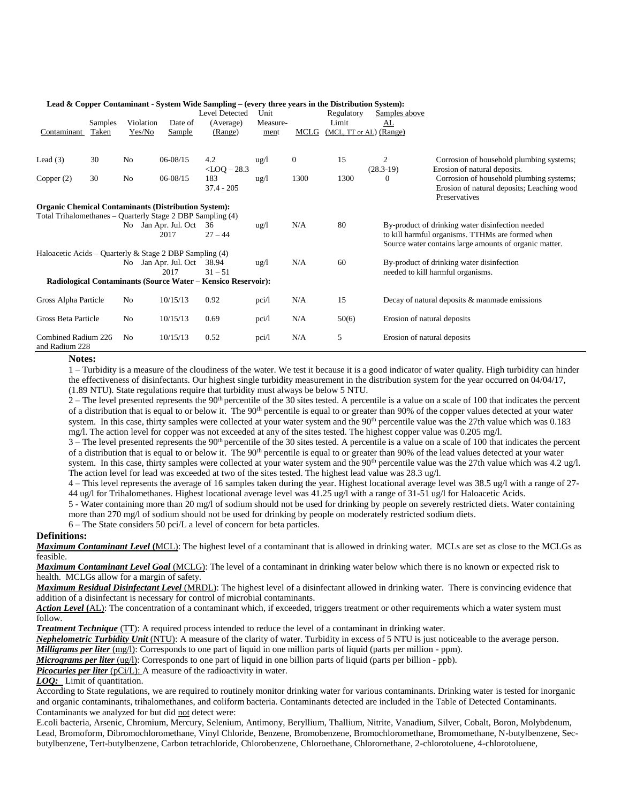|                                       |         |                | Leau & Copper Containmant - bystem whic bamping – (every time, years in the Distribution bystem). | Level Detected          | Unit            |              | Regulatory | Samples above               |                                                                                                                                                                |
|---------------------------------------|---------|----------------|---------------------------------------------------------------------------------------------------|-------------------------|-----------------|--------------|------------|-----------------------------|----------------------------------------------------------------------------------------------------------------------------------------------------------------|
|                                       | Samples | Violation      | Date of                                                                                           | (Average)               | Measure-        |              | Limit      | AL                          |                                                                                                                                                                |
| Contaminant                           | Taken   | Yes/No         | Sample                                                                                            | (Range)                 | ment            | MCLG         |            | (MCL, TT or AL) (Range)     |                                                                                                                                                                |
| Lead $(3)$                            | 30      | N <sub>0</sub> | $06 - 08/15$                                                                                      | 4.2<br>$<$ LOQ $-$ 28.3 | $\frac{u g}{l}$ | $\mathbf{0}$ | 15         | 2<br>$(28.3-19)$            | Corrosion of household plumbing systems;<br>Erosion of natural deposits.                                                                                       |
| Copper $(2)$                          | 30      | N <sub>0</sub> | $06 - 08/15$                                                                                      | 183<br>$37.4 - 205$     | $\frac{u g}{l}$ | 1300         | 1300       | $\Omega$                    | Corrosion of household plumbing systems;<br>Erosion of natural deposits; Leaching wood<br>Preservatives                                                        |
|                                       |         |                | <b>Organic Chemical Contaminants (Distribution System):</b>                                       |                         |                 |              |            |                             |                                                                                                                                                                |
|                                       |         |                | Total Trihalomethanes – Quarterly Stage 2 DBP Sampling (4)                                        |                         |                 |              |            |                             |                                                                                                                                                                |
|                                       |         |                | No Jan Apr. Jul. Oct<br>2017                                                                      | 36<br>$27 - 44$         | $u\text{g}/l$   | N/A          | 80         |                             | By-product of drinking water disinfection needed<br>to kill harmful organisms. TTHMs are formed when<br>Source water contains large amounts of organic matter. |
|                                       |         |                | Haloacetic Acids – Quarterly & Stage 2 DBP Sampling $(4)$                                         |                         |                 |              |            |                             |                                                                                                                                                                |
|                                       |         |                | No Jan Apr. Jul. Oct<br>2017                                                                      | 38.94<br>$31 - 51$      | $\frac{u g}{l}$ | N/A          | 60         |                             | By-product of drinking water disinfection<br>needed to kill harmful organisms.                                                                                 |
|                                       |         |                | Radiological Contaminants (Source Water – Kensico Reservoir):                                     |                         |                 |              |            |                             |                                                                                                                                                                |
| Gross Alpha Particle                  |         | N <sub>0</sub> | 10/15/13                                                                                          | 0.92                    | pci/l           | N/A          | 15         |                             | Decay of natural deposits & manmade emissions                                                                                                                  |
| Gross Beta Particle                   |         | N <sub>0</sub> | 10/15/13                                                                                          | 0.69                    | pci/l           | N/A          | 50(6)      | Erosion of natural deposits |                                                                                                                                                                |
| Combined Radium 226<br>and Radium 228 |         | No             | 10/15/13                                                                                          | 0.52                    | pci/l           | N/A          | 5          | Erosion of natural deposits |                                                                                                                                                                |

#### **Lead & Copper Contaminant - System Wide Sampling – (every three years in the Distribution System):**

**Notes:**

1 – Turbidity is a measure of the cloudiness of the water. We test it because it is a good indicator of water quality. High turbidity can hinder the effectiveness of disinfectants. Our highest single turbidity measurement in the distribution system for the year occurred on 04/04/17, (1.89 NTU). State regulations require that turbidity must always be below 5 NTU.

 $2 -$  The level presented represents the 90<sup>th</sup> percentile of the 30 sites tested. A percentile is a value on a scale of 100 that indicates the percent of a distribution that is equal to or below it. The 90<sup>th</sup> percentile is equal to or greater than 90% of the copper values detected at your water system. In this case, thirty samples were collected at your water system and the 90<sup>th</sup> percentile value was the 27th value which was 0.183 mg/l. The action level for copper was not exceeded at any of the sites tested. The highest copper value was 0.205 mg/l.

 $3$  – The level presented represents the 90<sup>th</sup> percentile of the 30 sites tested. A percentile is a value on a scale of 100 that indicates the percent of a distribution that is equal to or below it. The 90<sup>th</sup> percentile is equal to or greater than 90% of the lead values detected at your water system. In this case, thirty samples were collected at your water system and the 90<sup>th</sup> percentile value was the 27th value which was 4.2 ug/l. The action level for lead was exceeded at two of the sites tested. The highest lead value was 28.3 ug/l.

4 – This level represents the average of 16 samples taken during the year. Highest locational average level was 38.5 ug/l with a range of 27- 44 ug/l for Trihalomethanes. Highest locational average level was 41.25 ug/l with a range of 31-51 ug/l for Haloacetic Acids.

5 - Water containing more than 20 mg/l of sodium should not be used for drinking by people on severely restricted diets. Water containing more than 270 mg/l of sodium should not be used for drinking by people on moderately restricted sodium diets.

6 – The State considers 50 pci/L a level of concern for beta particles.

#### **Definitions:**

*Maximum Contaminant Level* **(**MCL): The highest level of a contaminant that is allowed in drinking water. MCLs are set as close to the MCLGs as feasible.

*Maximum Contaminant Level Goal* (MCLG): The level of a contaminant in drinking water below which there is no known or expected risk to health. MCLGs allow for a margin of safety.

*Maximum Residual Disinfectant Level* (MRDL): The highest level of a disinfectant allowed in drinking water. There is convincing evidence that addition of a disinfectant is necessary for control of microbial contaminants.

*Action Level* **(**AL): The concentration of a contaminant which, if exceeded, triggers treatment or other requirements which a water system must follow.

*Treatment Technique* (TT): A required process intended to reduce the level of a contaminant in drinking water.

*Nephelometric Turbidity Unit* (NTU): A measure of the clarity of water. Turbidity in excess of 5 NTU is just noticeable to the average person.

*Milligrams per liter* (mg/l): Corresponds to one part of liquid in one million parts of liquid (parts per million - ppm).

*Micrograms per liter* (ug/l): Corresponds to one part of liquid in one billion parts of liquid (parts per billion - ppb).

*Picocuries per liter* (pCi/L): A measure of the radioactivity in water.

**LOQ:** Limit of quantitation.

According to State regulations, we are required to routinely monitor drinking water for various contaminants. Drinking water is tested for inorganic and organic contaminants, trihalomethanes, and coliform bacteria. Contaminants detected are included in the Table of Detected Contaminants. Contaminants we analyzed for but did not detect were:

E.coli bacteria, Arsenic, Chromium, Mercury, Selenium, Antimony, Beryllium, Thallium, Nitrite, Vanadium, Silver, Cobalt, Boron, Molybdenum, Lead, Bromoform, Dibromochloromethane, Vinyl Chloride, Benzene, Bromobenzene, Bromochloromethane, Bromomethane, N-butylbenzene, Secbutylbenzene, Tert-butylbenzene, Carbon tetrachloride, Chlorobenzene, Chloroethane, Chloromethane, 2-chlorotoluene, 4-chlorotoluene,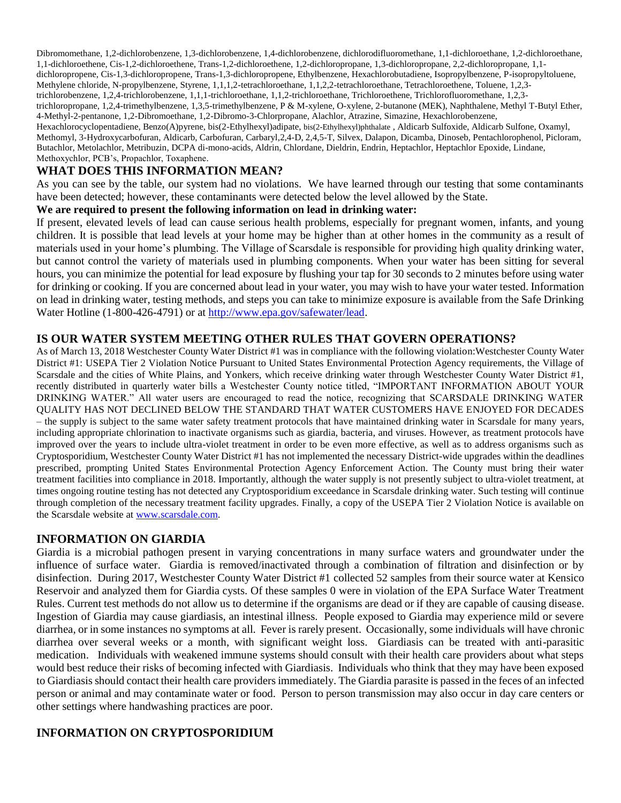Dibromomethane, 1,2-dichlorobenzene, 1,3-dichlorobenzene, 1,4-dichlorobenzene, dichlorodifluoromethane, 1,1-dichloroethane, 1,2-dichloroethane, 1,1-dichloroethene, Cis-1,2-dichloroethene, Trans-1,2-dichloroethene, 1,2-dichloropropane, 1,3-dichloropropane, 2,2-dichloropropane, 1,1 dichloropropene, Cis-1,3-dichloropropene, Trans-1,3-dichloropropene, Ethylbenzene, Hexachlorobutadiene, Isopropylbenzene, P-isopropyltoluene, Methylene chloride, N-propylbenzene, Styrene, 1,1,1,2-tetrachloroethane, 1,1,2,2-tetrachloroethane, Tetrachloroethene, Toluene, 1,2,3 trichlorobenzene, 1,2,4-trichlorobenzene, 1,1,1-trichloroethane, 1,1,2-trichloroethane, Trichloroethene, Trichlorofluoromethane, 1,2,3 trichloropropane, 1,2,4-trimethylbenzene, 1,3,5-trimethylbenzene, P & M-xylene, O-xylene, 2-butanone (MEK), Naphthalene, Methyl T-Butyl Ether, 4-Methyl-2-pentanone, 1,2-Dibromoethane, 1,2-Dibromo-3-Chlorpropane, Alachlor, Atrazine, Simazine, Hexachlorobenzene, Hexachlorocyclopentadiene, Benzo(A)pyrene, bis(2-Ethylhexyl)adipate, bis(2-Ethylhexyl)phthalate , Aldicarb Sulfoxide, Aldicarb Sulfone, Oxamyl, Methomyl, 3-Hydroxycarbofuran, Aldicarb, Carbofuran, Carbaryl,2,4-D, 2,4,5-T, Silvex, Dalapon, Dicamba, Dinoseb, Pentachlorophenol, Picloram, Butachlor, Metolachlor, Metribuzin, DCPA di-mono-acids, Aldrin, Chlordane, Dieldrin, Endrin, Heptachlor, Heptachlor Epoxide, Lindane, Methoxychlor, PCB's, Propachlor, Toxaphene.

# **WHAT DOES THIS INFORMATION MEAN?**

As you can see by the table, our system had no violations. We have learned through our testing that some contaminants have been detected; however, these contaminants were detected below the level allowed by the State.

#### **We are required to present the following information on lead in drinking water:**

If present, elevated levels of lead can cause serious health problems, especially for pregnant women, infants, and young children. It is possible that lead levels at your home may be higher than at other homes in the community as a result of materials used in your home's plumbing. The Village of Scarsdale is responsible for providing high quality drinking water, but cannot control the variety of materials used in plumbing components. When your water has been sitting for several hours, you can minimize the potential for lead exposure by flushing your tap for 30 seconds to 2 minutes before using water for drinking or cooking. If you are concerned about lead in your water, you may wish to have your water tested. Information on lead in drinking water, testing methods, and steps you can take to minimize exposure is available from the Safe Drinking Water Hotline (1-800-426-4791) or at [http://www.epa.gov/safewater/lead.](http://www.epa.gov/safewater/lead)

#### **IS OUR WATER SYSTEM MEETING OTHER RULES THAT GOVERN OPERATIONS?**

As of March 13, 2018 Westchester County Water District #1 was in compliance with the following violation:Westchester County Water District #1: USEPA Tier 2 Violation Notice Pursuant to United States Environmental Protection Agency requirements, the Village of Scarsdale and the cities of White Plains, and Yonkers, which receive drinking water through Westchester County Water District #1, recently distributed in quarterly water bills a Westchester County notice titled, "IMPORTANT INFORMATION ABOUT YOUR DRINKING WATER." All water users are encouraged to read the notice, recognizing that SCARSDALE DRINKING WATER QUALITY HAS NOT DECLINED BELOW THE STANDARD THAT WATER CUSTOMERS HAVE ENJOYED FOR DECADES – the supply is subject to the same water safety treatment protocols that have maintained drinking water in Scarsdale for many years, including appropriate chlorination to inactivate organisms such as giardia, bacteria, and viruses. However, as treatment protocols have improved over the years to include ultra-violet treatment in order to be even more effective, as well as to address organisms such as Cryptosporidium, Westchester County Water District #1 has not implemented the necessary District-wide upgrades within the deadlines prescribed, prompting United States Environmental Protection Agency Enforcement Action. The County must bring their water treatment facilities into compliance in 2018. Importantly, although the water supply is not presently subject to ultra-violet treatment, at times ongoing routine testing has not detected any Cryptosporidium exceedance in Scarsdale drinking water. Such testing will continue through completion of the necessary treatment facility upgrades. Finally, a copy of the USEPA Tier 2 Violation Notice is available on the Scarsdale website at [www.scarsdale.com.](http://www.scarsdale.com/)

## **INFORMATION ON GIARDIA**

Giardia is a microbial pathogen present in varying concentrations in many surface waters and groundwater under the influence of surface water. Giardia is removed/inactivated through a combination of filtration and disinfection or by disinfection. During 2017, Westchester County Water District #1 collected 52 samples from their source water at Kensico Reservoir and analyzed them for Giardia cysts. Of these samples 0 were in violation of the EPA Surface Water Treatment Rules. Current test methods do not allow us to determine if the organisms are dead or if they are capable of causing disease. Ingestion of Giardia may cause giardiasis, an intestinal illness. People exposed to Giardia may experience mild or severe diarrhea, or in some instances no symptoms at all. Fever is rarely present. Occasionally, some individuals will have chronic diarrhea over several weeks or a month, with significant weight loss. Giardiasis can be treated with anti-parasitic medication. Individuals with weakened immune systems should consult with their health care providers about what steps would best reduce their risks of becoming infected with Giardiasis. Individuals who think that they may have been exposed to Giardiasis should contact their health care providers immediately. The Giardia parasite is passed in the feces of an infected person or animal and may contaminate water or food. Person to person transmission may also occur in day care centers or other settings where handwashing practices are poor.

# **INFORMATION ON CRYPTOSPORIDIUM**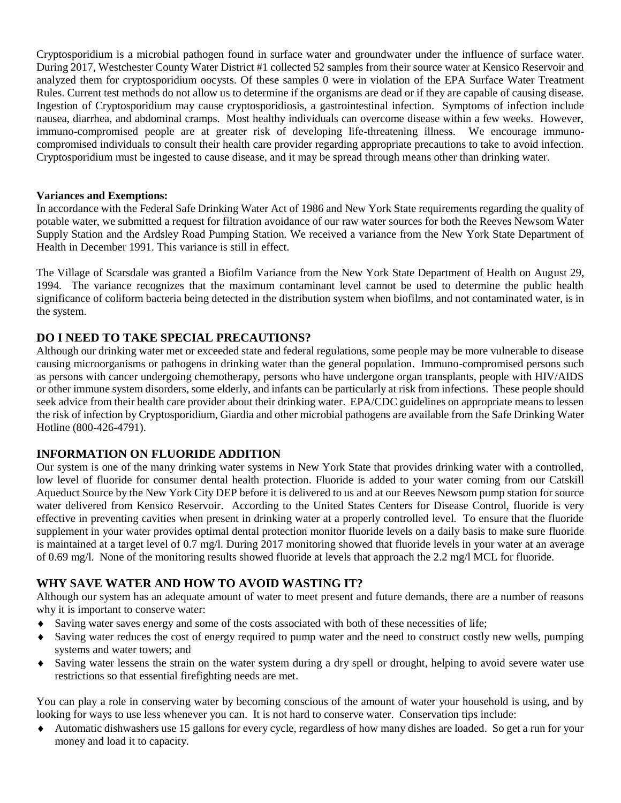Cryptosporidium is a microbial pathogen found in surface water and groundwater under the influence of surface water. During 2017, Westchester County Water District #1 collected 52 samples from their source water at Kensico Reservoir and analyzed them for cryptosporidium oocysts. Of these samples 0 were in violation of the EPA Surface Water Treatment Rules. Current test methods do not allow us to determine if the organisms are dead or if they are capable of causing disease. Ingestion of Cryptosporidium may cause cryptosporidiosis, a gastrointestinal infection. Symptoms of infection include nausea, diarrhea, and abdominal cramps. Most healthy individuals can overcome disease within a few weeks. However, immuno-compromised people are at greater risk of developing life-threatening illness. We encourage immunocompromised individuals to consult their health care provider regarding appropriate precautions to take to avoid infection. Cryptosporidium must be ingested to cause disease, and it may be spread through means other than drinking water.

#### **Variances and Exemptions:**

In accordance with the Federal Safe Drinking Water Act of 1986 and New York State requirements regarding the quality of potable water, we submitted a request for filtration avoidance of our raw water sources for both the Reeves Newsom Water Supply Station and the Ardsley Road Pumping Station. We received a variance from the New York State Department of Health in December 1991. This variance is still in effect.

The Village of Scarsdale was granted a Biofilm Variance from the New York State Department of Health on August 29, 1994. The variance recognizes that the maximum contaminant level cannot be used to determine the public health significance of coliform bacteria being detected in the distribution system when biofilms, and not contaminated water, is in the system.

# **DO I NEED TO TAKE SPECIAL PRECAUTIONS?**

Although our drinking water met or exceeded state and federal regulations, some people may be more vulnerable to disease causing microorganisms or pathogens in drinking water than the general population. Immuno-compromised persons such as persons with cancer undergoing chemotherapy, persons who have undergone organ transplants, people with HIV/AIDS or other immune system disorders, some elderly, and infants can be particularly at risk from infections. These people should seek advice from their health care provider about their drinking water. EPA/CDC guidelines on appropriate means to lessen the risk of infection by Cryptosporidium, Giardia and other microbial pathogens are available from the Safe Drinking Water Hotline (800-426-4791).

## **INFORMATION ON FLUORIDE ADDITION**

Our system is one of the many drinking water systems in New York State that provides drinking water with a controlled, low level of fluoride for consumer dental health protection. Fluoride is added to your water coming from our Catskill Aqueduct Source by the New York City DEP before it is delivered to us and at our Reeves Newsom pump station for source water delivered from Kensico Reservoir. According to the United States Centers for Disease Control, fluoride is very effective in preventing cavities when present in drinking water at a properly controlled level. To ensure that the fluoride supplement in your water provides optimal dental protection monitor fluoride levels on a daily basis to make sure fluoride is maintained at a target level of 0.7 mg/l. During 2017 monitoring showed that fluoride levels in your water at an average of 0.69 mg/l. None of the monitoring results showed fluoride at levels that approach the 2.2 mg/l MCL for fluoride.

## **WHY SAVE WATER AND HOW TO AVOID WASTING IT?**

Although our system has an adequate amount of water to meet present and future demands, there are a number of reasons why it is important to conserve water:

- Saving water saves energy and some of the costs associated with both of these necessities of life;
- Saving water reduces the cost of energy required to pump water and the need to construct costly new wells, pumping systems and water towers; and
- Saving water lessens the strain on the water system during a dry spell or drought, helping to avoid severe water use restrictions so that essential firefighting needs are met.

You can play a role in conserving water by becoming conscious of the amount of water your household is using, and by looking for ways to use less whenever you can. It is not hard to conserve water. Conservation tips include:

 Automatic dishwashers use 15 gallons for every cycle, regardless of how many dishes are loaded. So get a run for your money and load it to capacity.